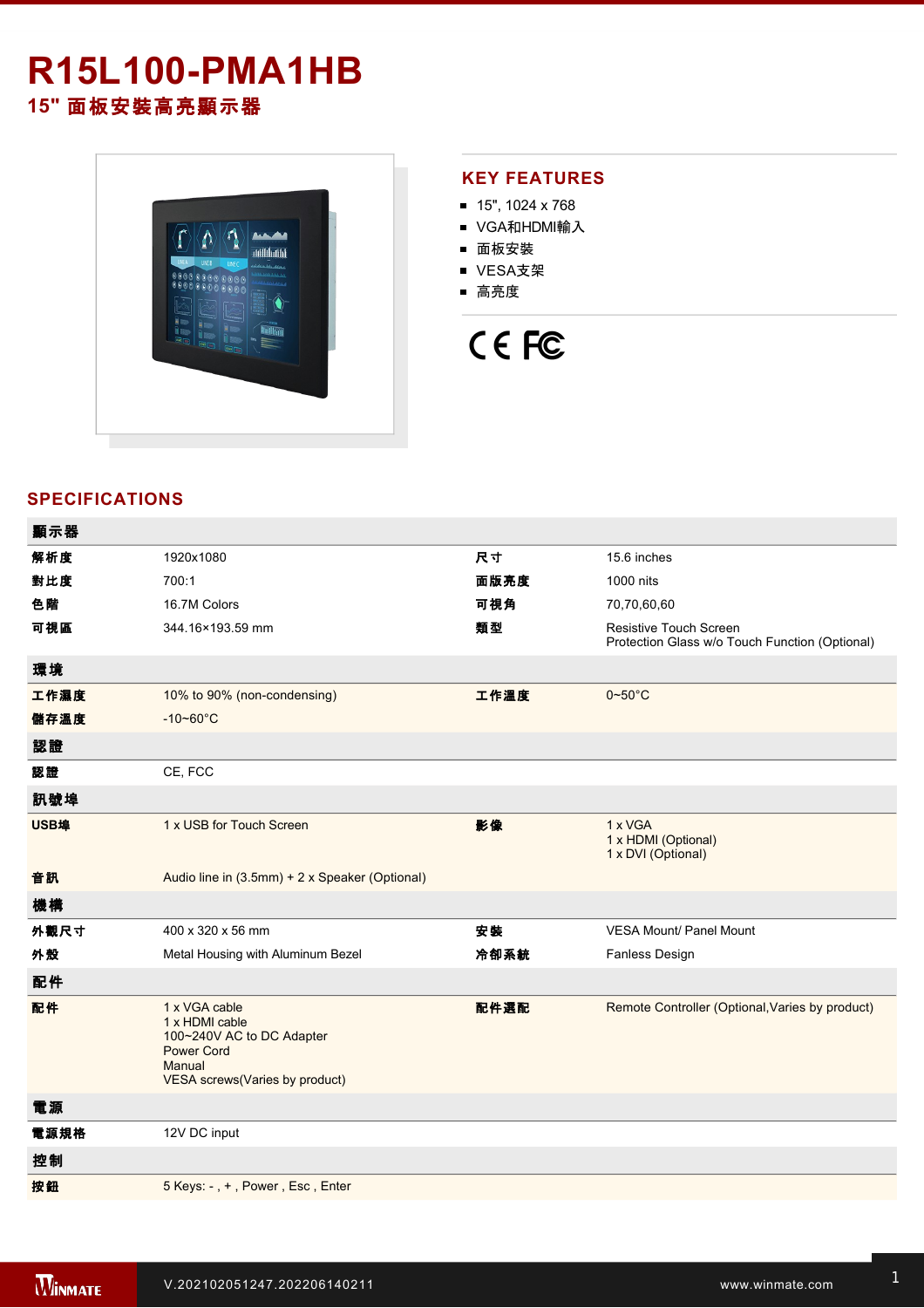# **R15L100-PMA1HB**

**15"** 面板安裝高亮顯示器



### **KEY FEATURES**

- $15"$ , 1024 x 768
- VGA和HDMI輸入
- 面板安裝
- VESA支架
- 高亮度

# CE FC

## **SPECIFICATIONS**

| 顯示器  |                                                                                                                               |      |                                                                                 |
|------|-------------------------------------------------------------------------------------------------------------------------------|------|---------------------------------------------------------------------------------|
| 解析度  | 1920x1080                                                                                                                     | 尺寸   | 15.6 inches                                                                     |
| 對比度  | 700:1                                                                                                                         | 面版亮度 | 1000 nits                                                                       |
| 色階   | 16.7M Colors                                                                                                                  | 可視角  | 70,70,60,60                                                                     |
| 可視區  | 344.16×193.59 mm                                                                                                              | 類型   | <b>Resistive Touch Screen</b><br>Protection Glass w/o Touch Function (Optional) |
| 環境   |                                                                                                                               |      |                                                                                 |
| 工作濕度 | 10% to 90% (non-condensing)                                                                                                   | 工作溫度 | $0\nightharpoonup 50^\circ C$                                                   |
| 儲存溫度 | $-10 - 60^{\circ}$ C                                                                                                          |      |                                                                                 |
| 認證   |                                                                                                                               |      |                                                                                 |
| 認證   | CE, FCC                                                                                                                       |      |                                                                                 |
| 訊號埠  |                                                                                                                               |      |                                                                                 |
| USB埠 | 1 x USB for Touch Screen                                                                                                      | 影像   | 1 x VGA<br>1 x HDMI (Optional)<br>1 x DVI (Optional)                            |
| 音訊   | Audio line in (3.5mm) + 2 x Speaker (Optional)                                                                                |      |                                                                                 |
| 機構   |                                                                                                                               |      |                                                                                 |
| 外觀尺寸 | 400 x 320 x 56 mm                                                                                                             | 安装   | <b>VESA Mount/ Panel Mount</b>                                                  |
| 外殼   | Metal Housing with Aluminum Bezel                                                                                             | 冷卻系統 | Fanless Design                                                                  |
| 配件   |                                                                                                                               |      |                                                                                 |
| 配件   | 1 x VGA cable<br>1 x HDMI cable<br>100~240V AC to DC Adapter<br><b>Power Cord</b><br>Manual<br>VESA screws(Varies by product) | 配件選配 | Remote Controller (Optional, Varies by product)                                 |
| 電源   |                                                                                                                               |      |                                                                                 |
| 電源規格 | 12V DC input                                                                                                                  |      |                                                                                 |
| 控制   |                                                                                                                               |      |                                                                                 |
| 按鈕   | 5 Keys: -, +, Power, Esc, Enter                                                                                               |      |                                                                                 |
|      |                                                                                                                               |      |                                                                                 |